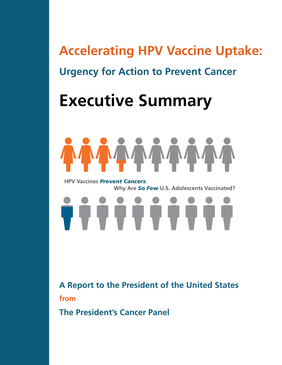## **Accelerating HPV Vaccine Uptake: Urgency for Action to Prevent Cancer**

# **Executive Summary**



  **Why Are** *So Few* **U.S. Adolescents Vaccinated? HPV Vaccines** *Prevent Cancers***.** 

Î Î Î Î Î Î Î Î Î Î

**A Report to the President of the United States from** 

**The President's Cancer Panel**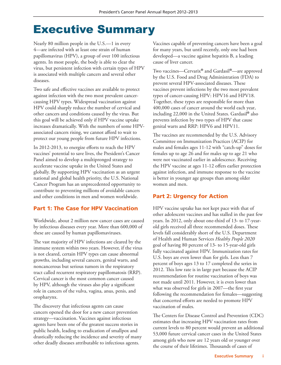### Executive Summary

Nearly 80 million people in the U.S.—1 in every 4—are infected with at least one strain of human papillomavirus (HPV), a group of over 100 infectious agents. In most people, the body is able to clear the virus, but persistent infection with certain types of HPV is associated with multiple cancers and several other diseases.

Two safe and effective vaccines are available to protect against infection with the two most prevalent cancercausing HPV types. Widespread vaccination against HPV could sharply reduce the number of cervical and other cancers and conditions caused by the virus. But this goal will be achieved only if HPV vaccine uptake increases dramatically. With the numbers of some HPVassociated cancers rising, we cannot afford to wait to protect our young people from future HPV infections.

In 2012-2013, to energize efforts to reach the HPV vaccines' potential to save lives, the President's Cancer Panel aimed to develop a multipronged strategy to accelerate vaccine uptake in the United States and globally. By supporting HPV vaccination as an urgent national and global health priority, the U.S. National Cancer Program has an unprecedented opportunity to contribute to preventing millions of avoidable cancers and other conditions in men and women worldwide.

#### Part 1: The Case for HPV Vaccination

Worldwide, about 2 million new cancer cases are caused by infectious diseases every year. More than 600,000 of these are caused by human papillomaviruses.

The vast majority of HPV infections are cleared by the immune system within two years. However, if the virus is not cleared, certain HPV types can cause abnormal growths, including several cancers, genital warts, and noncancerous but serious tumors in the respiratory tract called recurrent respiratory papillomatosis (RRP). Cervical cancer is the most common cancer caused by HPV, although the viruses also play a significant role in cancers of the vulva, vagina, anus, penis, and oropharynx.

The discovery that infectious agents can cause cancers opened the door for a new cancer prevention strategy—vaccination. Vaccines against infectious agents have been one of the greatest success stories in public health, leading to eradication of smallpox and drastically reducing the incidence and severity of many other deadly diseases attributable to infectious agents.

Vaccines capable of preventing cancers have been a goal for many years, but until recently, only one had been developed—a vaccine against hepatitis B, a leading cause of liver cancer.

Two vaccines—Cervarix® and Gardasil®—are approved by the U.S. Food and Drug Administration (FDA) to prevent several HPV-associated diseases. These vaccines prevent infections by the two most prevalent types of cancer-causing HPV: HPV16 and HPV18. Together, these types are responsible for more than 400,000 cases of cancer around the world each year, including 22,000 in the United States. Gardasil® also prevents infection by two types of HPV that cause genital warts and RRP: HPV6 and HPV11.

The vaccines are recommended by the U.S. Advisory Committee on Immunization Practices (ACIP) for males and females ages 11-12 with "catch-up" doses for females up to age 26 and for males up to age 21 who were not vaccinated earlier in adolescence. Receiving the HPV vaccine at ages 11-12 offers earlier protection against infection, and immune response to the vaccine is better in younger age groups than among older women and men.

#### Part 2: Urgency for Action

HPV vaccine uptake has not kept pace with that of other adolescent vaccines and has stalled in the past few years. In 2012, only about one-third of 13- to 17-yearold girls received all three recommended doses. These levels fall considerably short of the U.S. Department of Health and Human Services *Healthy People 2020* goal of having 80 percent of 13- to 15-year-old girls fully vaccinated against HPV. Immunization rates for U.S. boys are even lower than for girls. Less than 7 percent of boys ages 13 to 17 completed the series in 2012. This low rate is in large part because the ACIP recommendation for routine vaccination of boys was not made until 2011. However, it is even lower than what was observed for girls in 2007—the first year following the recommendation for females—suggesting that concerted efforts are needed to promote HPV vaccination of males.

The Centers for Disease Control and Prevention (CDC) estimates that increasing HPV vaccination rates from current levels to 80 percent would prevent an additional 53,000 future cervical cancer cases in the United States among girls who now are 12 years old or younger over the course of their lifetimes. Thousands of cases of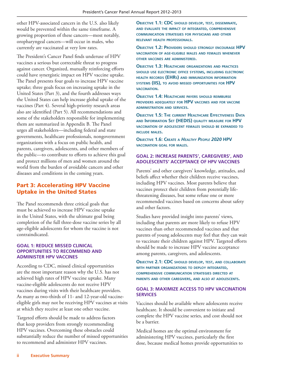other HPV-associated cancers in the U.S. also likely would be prevented within the same timeframe. A growing proportion of these cancers—most notably, oropharyngeal cancers—will occur in males, who currently are vaccinated at very low rates.

The President's Cancer Panel finds underuse of HPV vaccines a serious but correctable threat to progress against cancer. Organized, mutually reinforcing efforts could have synergistic impact on HPV vaccine uptake. The Panel presents four goals to increase HPV vaccine uptake; three goals focus on increasing uptake in the United States (Part 3), and the fourth addresses ways the United States can help increase global uptake of the vaccines (Part 4). Several high-priority research areas also are identified (Part 5). All recommendations and some of the stakeholders responsible for implementing them are summarized in Appendix B. The Panel urges all stakeholders—including federal and state governments, healthcare professionals, nongovernment organizations with a focus on public health, and parents, caregivers, adolescents, and other members of the public—to contribute to efforts to achieve this goal and protect millions of men and women around the world from the burden of avoidable cancers and other diseases and conditions in the coming years.

#### Part 3: Accelerating HPV Vaccine Uptake in the United States

The Panel recommends three critical goals that must be achieved to increase HPV vaccine uptake in the United States, with the ultimate goal being completion of the full three-dose vaccine series by all age-eligible adolescents for whom the vaccine is not contraindicated.

#### **GOAL 1: REDUCE MISSED CLINICAL OPPORTUNITIES TO RECOMMEND AND ADMINISTER HPV VACCINES**

According to CDC, missed clinical opportunities are the most important reason why the U.S. has not achieved high rates of HPV vaccine uptake. Many vaccine-eligible adolescents do not receive HPV vaccines during visits with their healthcare providers. As many as two-thirds of 11- and 12-year-old vaccineeligible girls may not be receiving HPV vaccines at visits at which they receive at least one other vaccine.

Targeted efforts should be made to address factors that keep providers from strongly recommending HPV vaccines. Overcoming these obstacles could substantially reduce the number of missed opportunities to recommend and administer HPV vaccines.

**Objective 1.1: CDC should develop, test, disseminate, and evaluate the impact of integrated, comprehensive communication strategies for physicians and other relevant health professionals.**

**Objective 1.2: Providers should strongly encourage HPV vaccination of age-eligible males and females whenever other vaccines are administered.**

**Objective 1.3: Healthcare organizations and practices should use electronic office systems, including electronic health records (EHRs) and immunization information systems (IIS), to avoid missed opportunities for HPV vaccination.**

**Objective 1.4: Healthcare payers should reimburse providers adequately for HPV vaccines and for vaccine administration and services.**

**Objective 1.5: The current Healthcare Effectiveness Data and Information Set (HEDIS) quality measure for HPV vaccination of adolescent females should be expanded to include males.**

**Objective 1.6: Create <sup>a</sup>** *Healthy People 2020* **HPV vaccination goal for males.**

#### **GOAL 2: INCREASE PARENTS', CAREGIVERS', AND ADOLESCENTS' ACCEPTANCE OF HPV VACCINES**

Parents' and other caregivers' knowledge, attitudes, and beliefs affect whether their children receive vaccines, including HPV vaccines. Most parents believe that vaccines protect their children from potentially lifethreatening diseases, but some refuse one or more recommended vaccines based on concerns about safety and other factors.

Studies have provided insight into parents' views, including that parents are more likely to refuse HPV vaccines than other recommended vaccines and that parents of young adolescents may feel that they can wait to vaccinate their children against HPV. Targeted efforts should be made to increase HPV vaccine acceptance among parents, caregivers, and adolescents.

**Objective 2.1: CDC should develop, test, and collaborate with partner organizations to deploy integrated, comprehensive communication strategies directed at parents and other caregivers, and also at adolescents.**

#### **GOAL 3: MAXIMIZE ACCESS TO HPV VACCINATION SERVICES**

Vaccines should be available where adolescents receive healthcare. It should be convenient to initiate and complete the HPV vaccine series, and cost should not be a barrier.

Medical homes are the optimal environment for administering HPV vaccines, particularly the first dose, because medical homes provide opportunities to